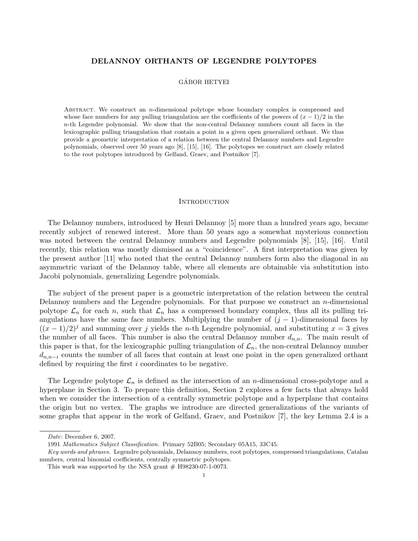# DELANNOY ORTHANTS OF LEGENDRE POLYTOPES

# GÁBOR HETYEI

ABSTRACT. We construct an  $n$ -dimensional polytope whose boundary complex is compressed and whose face numbers for any pulling triangulation are the coefficients of the powers of  $(x - 1)/2$  in the  $n$ -th Legendre polynomial. We show that the non-central Delannoy numbers count all faces in the lexicographic pulling triangulation that contain a point in a given open generalized orthant. We thus provide a geometric interpretation of a relation between the central Delannoy numbers and Legendre polynomials, observed over 50 years ago [8], [15], [16]. The polytopes we construct are closely related to the root polytopes introduced by Gelfand, Graev, and Postnikov [7].

### **INTRODUCTION**

The Delannoy numbers, introduced by Henri Delannoy [5] more than a hundred years ago, became recently subject of renewed interest. More than 50 years ago a somewhat mysterious connection was noted between the central Delannoy numbers and Legendre polynomials [8], [15], [16]. Until recently, this relation was mostly dismissed as a "coincidence". A first interpretation was given by the present author [11] who noted that the central Delannoy numbers form also the diagonal in an asymmetric variant of the Delannoy table, where all elements are obtainable via substitution into Jacobi polynomials, generalizing Legendre polynomials.

The subject of the present paper is a geometric interpretation of the relation between the central Delannoy numbers and the Legendre polynomials. For that purpose we construct an n-dimensional polytope  $\mathcal{L}_n$  for each n, such that  $\mathcal{L}_n$  has a compressed boundary complex, thus all its pulling triangulations have the same face numbers. Multiplying the number of  $(j - 1)$ -dimensional faces by  $((x-1)/2)^{j}$  and summing over j yields the n-th Legendre polynomial, and substituting  $x=3$  gives the number of all faces. This number is also the central Delannoy number  $d_{n,n}$ . The main result of this paper is that, for the lexicographic pulling triangulation of  $\mathcal{L}_n$ , the non-central Delannoy number  $d_{n,n-i}$  counts the number of all faces that contain at least one point in the open generalized orthant defined by requiring the first i coordinates to be negative.

The Legendre polytope  $\mathcal{L}_n$  is defined as the intersection of an *n*-dimensional cross-polytope and a hyperplane in Section 3. To prepare this definition, Section 2 explores a few facts that always hold when we consider the intersection of a centrally symmetric polytope and a hyperplane that contains the origin but no vertex. The graphs we introduce are directed generalizations of the variants of some graphs that appear in the work of Gelfand, Graev, and Postnikov [7], the key Lemma 2.4 is a

Date: December 6, 2007.

<sup>1991</sup> Mathematics Subject Classification. Primary 52B05; Secondary 05A15, 33C45.

Key words and phrases. Legendre polynomials, Delannoy numbers, root polytopes, compressed triangulations, Catalan numbers, central binomial coefficients, centrally symmetric polytopes.

This work was supported by the NSA grant  $#$  H98230-07-1-0073.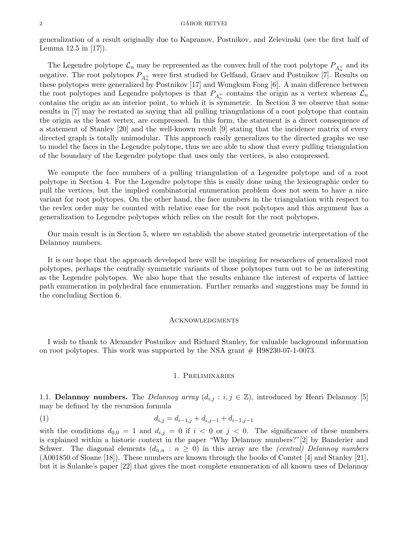generalization of a result originally due to Kapranov, Postnikov, and Zelevinski (see the first half of Lemma 12.5 in [17]).

The Legendre polytope  $\mathcal{L}_n$  may be represented as the convex hull of the root polytope  $P_{A_n^+}$  and its negative. The root polytopes  $P_{A_n^+}$  were first studied by Gelfand, Graev and Postnikov [7]. Results on these polytopes were generalized by Postnikov [17] and Wungkum Fong [6]. A main difference between the root polytopes and Legendre polytopes is that  $P_{A_n^+}$  contains the origin as a vertex whereas  $\mathcal{L}_n$ contains the origin as an interior point, to which it is symmetric. In Section 3 we observe that some results in [7] may be restated as saying that all pulling triangulations of a root polytope that contain the origin as the least vertex, are compressed. In this form, the statement is a direct consequence of a statement of Stanley [20] and the well-known result [9] stating that the incidence matrix of every directed graph is totally unimodular. This approach easily generalizes to the directed graphs we use to model the faces in the Legendre polytope, thus we are able to show that every pulling triangulation of the boundary of the Legendre polytope that uses only the vertices, is also compressed.

We compute the face numbers of a pulling triangulation of a Legendre polytope and of a root polytope in Section 4. For the Legendre polytope this is easily done using the lexicographic order to pull the vertices, but the implied combinatorial enumeration problem does not seem to have a nice variant for root polytopes. On the other hand, the face numbers in the triangulation with respect to the revlex order may be counted with relative ease for the root polytopes and this argument has a generalization to Legendre polytopes which relies on the result for the root polytopes.

Our main result is in Section 5, where we establish the above stated geometric interpretation of the Delannoy numbers.

It is our hope that the approach developed here will be inspiring for researchers of generalized root polytopes, perhaps the centrally symmetric variants of those polytopes turn out to be as interesting as the Legendre polytopes. We also hope that the results enhance the interest of experts of lattice path enumeration in polyhedral face enumeration. Further remarks and suggestions may be found in the concluding Section 6.

### Acknowledgments

I wish to thank to Alexander Postnikov and Richard Stanley, for valuable background information on root polytopes. This work was supported by the NSA grant  $#$  H98230-07-1-0073.

# 1. Preliminaries

1.1. Delannoy numbers. The Delannoy array  $(d_{i,j} : i, j \in \mathbb{Z})$ , introduced by Henri Delannoy [5] may be defined by the recursion formula

$$
(1) \t d_{i,j} = d_{i-1,j} + d_{i,j-1} + d_{i-1,j-1}
$$

with the conditions  $d_{0,0} = 1$  and  $d_{i,j} = 0$  if  $i < 0$  or  $j < 0$ . The significance of these numbers is explained within a historic context in the paper "Why Delannoy numbers?"[2] by Banderier and Schwer. The diagonal elements  $(d_{n,n} : n \geq 0)$  in this array are the *(central) Delannoy numbers* (A001850 of Sloane [18]). These numbers are known through the books of Comtet [4] and Stanley [21], but it is Sulanke's paper [22] that gives the most complete enumeration of all known uses of Delannoy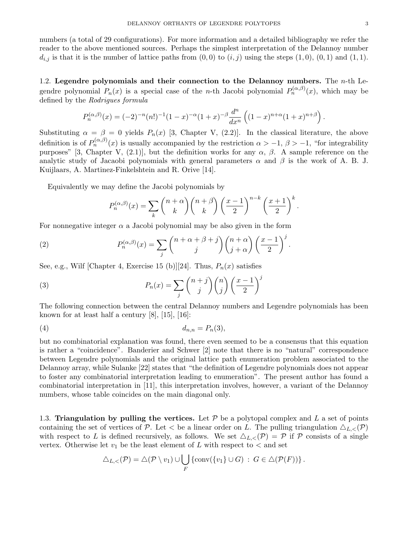numbers (a total of 29 configurations). For more information and a detailed bibliography we refer the reader to the above mentioned sources. Perhaps the simplest interpretation of the Delannoy number  $d_{i,j}$  is that it is the number of lattice paths from  $(0,0)$  to  $(i,j)$  using the steps  $(1,0), (0,1)$  and  $(1,1)$ .

1.2. Legendre polynomials and their connection to the Delannoy numbers. The  $n$ -th Legendre polynomial  $P_n(x)$  is a special case of the *n*-th Jacobi polynomial  $P_n^{(\alpha,\beta)}(x)$ , which may be defined by the Rodrigues formula

$$
P_n^{(\alpha,\beta)}(x) = (-2)^{-n} (n!)^{-1} (1-x)^{-\alpha} (1+x)^{-\beta} \frac{d^n}{dx^n} \left( (1-x)^{n+\alpha} (1+x)^{n+\beta} \right).
$$

Substituting  $\alpha = \beta = 0$  yields  $P_n(x)$  [3, Chapter V, (2.2)]. In the classical literature, the above definition is of  $P_n^{(\alpha,\beta)}(x)$  is usually accompanied by the restriction  $\alpha > -1, \beta > -1$ , "for integrability purposes" [3, Chapter V, (2.1)], but the definition works for any  $\alpha$ ,  $\beta$ . A sample reference on the analytic study of Jacaobi polynomials with general parameters  $\alpha$  and  $\beta$  is the work of A. B. J. Kuijlaars, A. Martinez-Finkelshtein and R. Orive [14].

Equivalently we may define the Jacobi polynomials by

$$
P_n^{(\alpha,\beta)}(x) = \sum_k {n+\alpha \choose k} {n+\beta \choose k} \left(\frac{x-1}{2}\right)^{n-k} \left(\frac{x+1}{2}\right)^k.
$$

For nonnegative integer  $\alpha$  a Jacobi polynomial may be also given in the form

(2) 
$$
P_n^{(\alpha,\beta)}(x) = \sum_j {n+\alpha+\beta+j \choose j}{n+\alpha \choose j+\alpha} \left(\frac{x-1}{2}\right)^j.
$$

See, e.g., Wilf [Chapter 4, Exercise 15 (b)][24]. Thus,  $P_n(x)$  satisfies

(3) 
$$
P_n(x) = \sum_j {n+j \choose j} {n \choose j} \left(\frac{x-1}{2}\right)^j
$$

The following connection between the central Delannoy numbers and Legendre polynomials has been known for at least half a century [8], [15], [16]:

$$
(4) \t\t d_{n,n} = P_n(3),
$$

but no combinatorial explanation was found, there even seemed to be a consensus that this equation is rather a "coincidence". Banderier and Schwer [2] note that there is no "natural" correspondence between Legendre polynomials and the original lattice path enumeration problem associated to the Delannoy array, while Sulanke [22] states that "the definition of Legendre polynomials does not appear to foster any combinatorial interpretation leading to enumeration". The present author has found a combinatorial interpretation in [11], this interpretation involves, however, a variant of the Delannoy numbers, whose table coincides on the main diagonal only.

1.3. Triangulation by pulling the vertices. Let  $P$  be a polytopal complex and L a set of points containing the set of vertices of P. Let  $\lt$  be a linear order on L. The pulling triangulation  $\triangle_{L,\lt}(P)$ with respect to L is defined recursively, as follows. We set  $\Delta_{L,<}(P) = P$  if P consists of a single vertex. Otherwise let  $v_1$  be the least element of L with respect to  $\lt$  and set

$$
\triangle_{L,<}(\mathcal{P}) = \triangle(\mathcal{P} \setminus v_1) \cup \bigcup_F \{ \text{conv}(\{v_1\} \cup G) : G \in \triangle(\mathcal{P}(F)) \}.
$$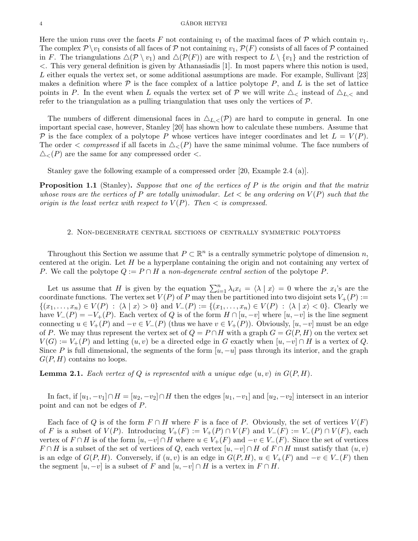### 4 GABOR HETYEI ´

Here the union runs over the facets F not containing  $v_1$  of the maximal faces of P which contain  $v_1$ . The complex  $\mathcal{P} \setminus v_1$  consists of all faces of  $\mathcal P$  not containing  $v_1, \mathcal{P}(F)$  consists of all faces of  $\mathcal P$  contained in F. The triangulations  $\Delta(\mathcal{P} \setminus v_1)$  and  $\Delta(\mathcal{P}(F))$  are with respect to  $L \setminus \{v_1\}$  and the restriction of <. This very general definition is given by Athanasiadis [1]. In most papers where this notion is used, L either equals the vertex set, or some additional assumptions are made. For example, Sullivant [23] makes a definition where  $P$  is the face complex of a lattice polytope  $P$ , and  $L$  is the set of lattice points in P. In the event when L equals the vertex set of P we will write  $\Delta_{\leq}$  instead of  $\Delta_{L,\leq}$  and refer to the triangulation as a pulling triangulation that uses only the vertices of  $P$ .

The numbers of different dimensional faces in  $\Delta_{L,<}(P)$  are hard to compute in general. In one important special case, however, Stanley [20] has shown how to calculate these numbers. Assume that P is the face complex of a polytope P whose vertices have integer coordinates and let  $L = V(P)$ . The order  $\lt$  compressed if all facets in  $\triangle_{\lt}(P)$  have the same minimal volume. The face numbers of  $\triangle_{\leq}(P)$  are the same for any compressed order  $\leq$ .

Stanley gave the following example of a compressed order [20, Example 2.4 (a)].

**Proposition 1.1** (Stanley). Suppose that one of the vertices of P is the origin and that the matrix whose rows are the vertices of P are totally unimodular. Let  $\lt$  be any ordering on  $V(P)$  such that the origin is the least vertex with respect to  $V(P)$ . Then  $\lt$  is compressed.

## 2. Non-degenerate central sections of centrally symmetric polytopes

Throughout this Section we assume that  $P \subset \mathbb{R}^n$  is a centrally symmetric polytope of dimension n, centered at the origin. Let  $H$  be a hyperplane containing the origin and not containing any vertex of P. We call the polytope  $Q := P \cap H$  a non-degenerate central section of the polytope P.

Let us assume that H is given by the equation  $\sum_{i=1}^{n} \lambda_i x_i = \langle \lambda | x \rangle = 0$  where the  $x_i$ 's are the coordinate functions. The vertex set  $V(P)$  of P may then be partitioned into two disjoint sets  $V_+(P)$  :=  $\{(x_1,\ldots,x_n)\in V(P) : \langle\lambda | x\rangle > 0\}$  and  $V_{-}(P) := \{(x_1,\ldots,x_n)\in V(P) : \langle\lambda | x\rangle < 0\}$ . Clearly we have  $V_-(P) = -V_+(P)$ . Each vertex of Q is of the form  $H \cap [u, -v]$  where  $[u, -v]$  is the line segment connecting  $u \in V_+(P)$  and  $-v \in V_-(P)$  (thus we have  $v \in V_+(P)$ ). Obviously,  $[u, -v]$  must be an edge of P. We may thus represent the vertex set of  $Q = P \cap H$  with a graph  $G = G(P, H)$  on the vertex set  $V(G) := V_+(P)$  and letting  $(u, v)$  be a directed edge in G exactly when  $[u, -v] \cap H$  is a vertex of Q. Since P is full dimensional, the segments of the form  $[u, -u]$  pass through its interior, and the graph  $G(P, H)$  contains no loops.

**Lemma 2.1.** Each vertex of Q is represented with a unique edge  $(u, v)$  in  $G(P, H)$ .

In fact, if  $[u_1, -v_1] \cap H = [u_2, -v_2] \cap H$  then the edges  $[u_1, -v_1]$  and  $[u_2, -v_2]$  intersect in an interior point and can not be edges of P.

Each face of Q is of the form  $F \cap H$  where F is a face of P. Obviously, the set of vertices  $V(F)$ of F is a subset of  $V(P)$ . Introducing  $V_+(F) := V_+(P) \cap V(F)$  and  $V_-(F) := V_-(P) \cap V(F)$ , each vertex of  $F \cap H$  is of the form  $[u, -v] \cap H$  where  $u \in V_+(F)$  and  $-v \in V_-(F)$ . Since the set of vertices  $F \cap H$  is a subset of the set of vertices of Q, each vertex  $[u, -v] \cap H$  of  $F \cap H$  must satisfy that  $(u, v)$ is an edge of  $G(P, H)$ . Conversely, if  $(u, v)$  is an edge in  $G(P, H)$ ,  $u \in V_+(F)$  and  $-v \in V_-(F)$  then the segment  $[u, -v]$  is a subset of F and  $[u, -v] \cap H$  is a vertex in  $F \cap H$ .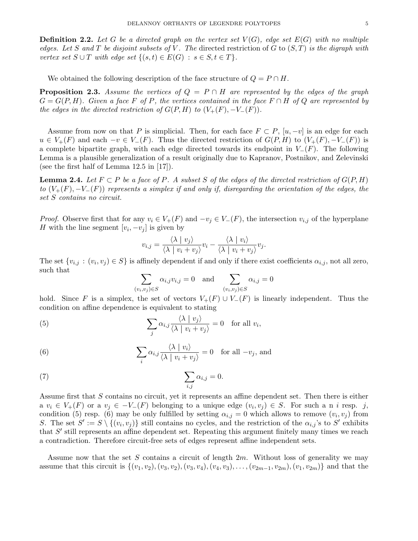**Definition 2.2.** Let G be a directed graph on the vertex set  $V(G)$ , edge set  $E(G)$  with no multiple edges. Let S and T be disjoint subsets of V. The directed restriction of G to  $(S,T)$  is the digraph with vertex set  $S \cup T$  with edge set  $\{(s,t) \in E(G) : s \in S, t \in T\}.$ 

We obtained the following description of the face structure of  $Q = P \cap H$ .

**Proposition 2.3.** Assume the vertices of  $Q = P \cap H$  are represented by the edges of the graph  $G = G(P, H)$ . Given a face F of P, the vertices contained in the face  $F \cap H$  of Q are represented by the edges in the directed restriction of  $G(P, H)$  to  $(V_{+}(F), -V_{-}(F)).$ 

Assume from now on that P is simplicial. Then, for each face  $F \subset P$ ,  $[u, -v]$  is an edge for each  $u \in V_+(F)$  and each  $-v \in V_-(F)$ . Thus the directed restriction of  $G(P,H)$  to  $(V_+(F), -V_-(F))$  is a complete bipartite graph, with each edge directed towards its endpoint in  $V_-(F)$ . The following Lemma is a plausible generalization of a result originally due to Kapranov, Postnikov, and Zelevinski (see the first half of Lemma 12.5 in [17]).

**Lemma 2.4.** Let  $F \subset P$  be a face of P. A subset S of the edges of the directed restriction of  $G(P, H)$ to  $(V_+(F), -V_-(F))$  represents a simplex if and only if, disregarding the orientation of the edges, the set S contains no circuit.

*Proof.* Observe first that for any  $v_i \in V_+(F)$  and  $-v_j \in V_-(F)$ , the intersection  $v_{i,j}$  of the hyperplane H with the line segment  $[v_i, -v_j]$  is given by

$$
v_{i,j} = \frac{\langle \lambda \mid v_j \rangle}{\langle \lambda \mid v_i + v_j \rangle} v_i - \frac{\langle \lambda \mid v_i \rangle}{\langle \lambda \mid v_i + v_j \rangle} v_j.
$$

The set  $\{v_{i,j} : (v_i, v_j) \in S\}$  is affinely dependent if and only if there exist coefficients  $\alpha_{i,j}$ , not all zero, such that

$$
\sum_{(v_i, v_j) \in S} \alpha_{i,j} v_{i,j} = 0 \text{ and } \sum_{(v_i, v_j) \in S} \alpha_{i,j} = 0
$$

hold. Since F is a simplex, the set of vectors  $V_+(F) \cup V_-(F)$  is linearly independent. Thus the condition on affine dependence is equivalent to stating

(5) 
$$
\sum_{j} \alpha_{i,j} \frac{\langle \lambda \mid v_j \rangle}{\langle \lambda \mid v_i + v_j \rangle} = 0 \text{ for all } v_i,
$$

(6) 
$$
\sum_{i} \alpha_{i,j} \frac{\langle \lambda \mid v_i \rangle}{\langle \lambda \mid v_i + v_j \rangle} = 0 \text{ for all } -v_j \text{, and}
$$

(7) 
$$
\sum_{i,j} \alpha_{i,j} = 0.
$$

Assume first that S contains no circuit, yet it represents an affine dependent set. Then there is either  $a \ v_i \in V_+(F)$  or a  $v_j \in -V_-(F)$  belonging to a unique edge  $(v_i, v_j) \in S$ . For such a n i resp. j, condition (5) resp. (6) may be only fulfilled by setting  $\alpha_{i,j} = 0$  which allows to remove  $(v_i, v_j)$  from S. The set  $S' := S \setminus \{(v_i, v_j)\}\$  still contains no cycles, and the restriction of the  $\alpha_{i,j}$ 's to S' exhibits that  $S'$  still represents an affine dependent set. Repeating this argument finitely many times we reach a contradiction. Therefore circuit-free sets of edges represent affine independent sets.

Assume now that the set S contains a circuit of length  $2m$ . Without loss of generality we may assume that this circuit is  $\{(v_1, v_2), (v_3, v_2), (v_3, v_4), (v_4, v_3), \ldots, (v_{2m-1}, v_{2m}), (v_1, v_{2m})\}$  and that the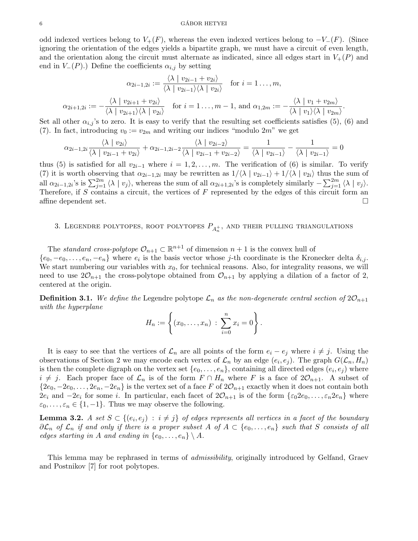odd indexed vertices belong to  $V_{+}(F)$ , whereas the even indexed vertices belong to  $-V_{-}(F)$ . (Since ignoring the orientation of the edges yields a bipartite graph, we must have a circuit of even length, and the orientation along the circuit must alternate as indicated, since all edges start in  $V_+(P)$  and end in  $V_-(P)$ .) Define the coefficients  $\alpha_{i,j}$  by setting

$$
\alpha_{2i-1,2i} := \frac{\langle \lambda \mid v_{2i-1} + v_{2i} \rangle}{\langle \lambda \mid v_{2i-1} \rangle \langle \lambda \mid v_{2i} \rangle} \quad \text{for } i = 1 \dots, m,
$$
  

$$
\alpha_{2i+1,2i} := -\frac{\langle \lambda \mid v_{2i+1} + v_{2i} \rangle}{\langle \lambda \mid v_{2i+1} \rangle \langle \lambda \mid v_{2i} \rangle} \quad \text{for } i = 1 \dots, m-1, \text{ and } \alpha_{1,2m} := -\frac{\langle \lambda \mid v_1 + v_{2m} \rangle}{\langle \lambda \mid v_1 \rangle \langle \lambda \mid v_{2m} \rangle}.
$$

Set all other  $\alpha_{i,j}$ 's to zero. It is easy to verify that the resulting set coefficients satisfies (5), (6) and (7). In fact, introducing  $v_0 := v_{2m}$  and writing our indices "modulo  $2m$ " we get

$$
\alpha_{2i-1,2i} \frac{\langle \lambda \mid v_{2i} \rangle}{\langle \lambda \mid v_{2i-1} + v_{2i} \rangle} + \alpha_{2i-1,2i-2} \frac{\langle \lambda \mid v_{2i-2} \rangle}{\langle \lambda \mid v_{2i-1} + v_{2i-2} \rangle} = \frac{1}{\langle \lambda \mid v_{2i-1} \rangle} - \frac{1}{\langle \lambda \mid v_{2i-1} \rangle} = 0
$$

thus (5) is satisfied for all  $v_{2i-1}$  where  $i = 1, 2, \ldots, m$ . The verification of (6) is similar. To verify (7) it is worth observing that  $\alpha_{2i-1,2i}$  may be rewritten as  $1/\langle\lambda | v_{2i-1}\rangle + 1/\langle\lambda | v_{2i}\rangle$  thus the sum of all  $\alpha_{2i-1,2i}$ 's is  $\sum_{j=1}^{2m} \langle \lambda | v_j \rangle$ , whereas the sum of all  $\alpha_{2i+1,2i}$ 's is completely similarly  $-\sum_{j=1}^{2m} \langle \lambda | v_j \rangle$ . Therefore, if  $S$  contains a circuit, the vertices of  $F$  represented by the edges of this circuit form an affine dependent set.  $\Box$ 

# 3. LEGENDRE POLYTOPES, ROOT POLYTOPES  $P_{A_n^+}$ , and their pulling triangulations

The standard cross-polytope  $\mathcal{O}_{n+1} \subset \mathbb{R}^{n+1}$  of dimension  $n+1$  is the convex hull of  $\{e_0, -e_0, \ldots, e_n, -e_n\}$  where  $e_i$  is the basis vector whose j-th coordinate is the Kronecker delta  $\delta_{i,j}$ . We start numbering our variables with  $x_0$ , for technical reasons. Also, for integrality reasons, we will need to use  $2\mathcal{O}_{n+1}$  the cross-polytope obtained from  $\mathcal{O}_{n+1}$  by applying a dilation of a factor of 2, centered at the origin.

**Definition 3.1.** We define the Legendre polytope  $\mathcal{L}_n$  as the non-degenerate central section of  $2\mathcal{O}_{n+1}$ with the hyperplane

$$
H_n := \left\{ (x_0, \ldots, x_n) \; : \; \sum_{i=0}^n x_i = 0 \right\}.
$$

It is easy to see that the vertices of  $\mathcal{L}_n$  are all points of the form  $e_i - e_j$  where  $i \neq j$ . Using the observations of Section 2 we may encode each vertex of  $\mathcal{L}_n$  by an edge  $(e_i, e_j)$ . The graph  $G(\mathcal{L}_n, H_n)$ is then the complete digraph on the vertex set  $\{e_0, \ldots, e_n\}$ , containing all directed edges  $(e_i, e_j)$  where  $i \neq j$ . Each proper face of  $\mathcal{L}_n$  is of the form  $F \cap H_n$  where F is a face of  $2\mathcal{O}_{n+1}$ . A subset of  $\{2e_0, -2e_0, \ldots, 2e_n, -2e_n\}$  is the vertex set of a face F of  $2\mathcal{O}_{n+1}$  exactly when it does not contain both  $2e_i$  and  $-2e_i$  for some i. In particular, each facet of  $2\mathcal{O}_{n+1}$  is of the form  $\{\varepsilon_0 2e_0, \ldots, \varepsilon_n 2e_n\}$  where  $\varepsilon_0, \ldots, \varepsilon_n \in \{1, -1\}$ . Thus we may observe the following.

**Lemma 3.2.** A set  $S \subset \{(e_i, e_j) : i \neq j\}$  of edges represents all vertices in a facet of the boundary  $\partial \mathcal{L}_n$  of  $\mathcal{L}_n$  if and only if there is a proper subset A of  $A \subset \{e_0, \ldots, e_n\}$  such that S consists of all edges starting in A and ending in  $\{e_0, \ldots, e_n\} \setminus A$ .

This lemma may be rephrased in terms of *admissibility*, originally introduced by Gelfand, Graev and Postnikov [7] for root polytopes.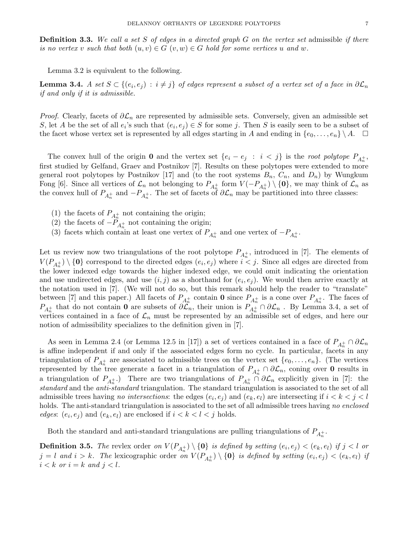**Definition 3.3.** We call a set S of edges in a directed graph  $G$  on the vertex set admissible if there is no vertex v such that both  $(u, v) \in G$   $(v, w) \in G$  hold for some vertices u and w.

Lemma 3.2 is equivalent to the following.

**Lemma 3.4.** A set  $S \subset \{(e_i,e_j)\,:\,i\neq j\}$  of edges represent a subset of a vertex set of a face in  $\partial \mathcal{L}_n$ if and only if it is admissible.

*Proof.* Clearly, facets of  $\partial \mathcal{L}_n$  are represented by admissible sets. Conversely, given an admissible set S, let A be the set of all  $e_i$ 's such that  $(e_i, e_j) \in S$  for some j. Then S is easily seen to be a subset of the facet whose vertex set is represented by all edges starting in A and ending in  $\{e_0, \ldots, e_n\} \setminus A$ .  $\Box$ 

The convex hull of the origin **0** and the vertex set  $\{e_i - e_j : i < j\}$  is the root polytope  $P_{A_n^+}$ , first studied by Gelfand, Graev and Postnikov [7]. Results on these polytopes were extended to more general root polytopes by Postnikov [17] and (to the root systems  $B_n$ ,  $C_n$ , and  $D_n$ ) by Wungkum Fong [6]. Since all vertices of  $\mathcal{L}_n$  not belonging to  $P_{A_n^+}$  form  $V(-P_{A_n^+}) \setminus \{\mathbf{0}\}$ , we may think of  $\mathcal{L}_n$  as the convex hull of  $P_{A_n^+}$  and  $-P_{A_n^+}$ . The set of facets of  $\partial \mathcal{L}_n$  may be partitioned into three classes:

- (1) the facets of  $P_{A_n^+}$  not containing the origin;
- (2) the facets of  $-P_{A_n^+}$  not containing the origin;
- (3) facets which contain at least one vertex of  $P_{A_n^+}$  and one vertex of  $-P_{A_n^+}$ .

Let us review now two triangulations of the root polytope  $P_{A_n^+}$ , introduced in [7]. The elements of  $V(P_{A_n^+}) \setminus \{0\}$  correspond to the directed edges  $(e_i, e_j)$  where  $i < j$ . Since all edges are directed from the lower indexed edge towards the higher indexed edge, we could omit indicating the orientation and use undirected edges, and use  $(i, j)$  as a shorthand for  $(e_i, e_j)$ . We would then arrive exactly at the notation used in [7]. (We will not do so, but this remark should help the reader to "translate" between [7] and this paper.) All facets of  $P_{A_n^+}$  contain **0** since  $P_{A_n^+}$  is a cone over  $P_{A_n^+}$ . The faces of  $P_{A_n^+}$  that do not contain 0 are subsets of  $\partial \mathcal{L}_n$ , their union is  $P_{A_n^+} \cap \partial \mathcal{L}_n$ . By Lemma 3.4, a set of vertices contained in a face of  $\mathcal{L}_n$  must be represented by an admissible set of edges, and here our notion of admissibility specializes to the definition given in [7].

As seen in Lemma 2.4 (or Lemma 12.5 in [17]) a set of vertices contained in a face of  $P_{A_n^+} \cap \partial \mathcal{L}_n$ is affine independent if and only if the associated edges form no cycle. In particular, facets in any triangulation of  $P_{A_n^+}$  are associated to admissible trees on the vertex set  $\{e_0, \ldots, e_n\}$ . (The vertices represented by the tree generate a facet in a triangulation of  $P_{A_n^+} \cap \partial \mathcal{L}_n$ , coning over **0** results in a triangulation of  $P_{A_n^+}$ . There are two triangulations of  $P_{A_n^+} \cap \partial \mathcal{L}_n$  explicitly given in [7]: the standard and the anti-standard triangulation. The standard triangulation is associated to the set of all admissible trees having no intersections: the edges  $(e_i, e_j)$  and  $(e_k, e_l)$  are intersecting if  $i < k < j < l$ holds. The anti-standard triangulation is associated to the set of all admissible trees having no enclosed *edges*:  $(e_i, e_j)$  and  $(e_k, e_l)$  are enclosed if  $i < k < l < j$  holds.

Both the standard and anti-standard triangulations are pulling triangulations of  $P_{A_n^+}$ .

**Definition 3.5.** The revlex order on  $V(P_{A_n^+}) \setminus \{0\}$  is defined by setting  $(e_i, e_j) < (e_k, e_l)$  if  $j < l$  or  $j = l$  and  $i > k$ . The lexicographic order on  $V(P_{A_n^+}) \setminus \{0\}$  is defined by setting  $(e_i, e_j) < (e_k, e_l)$  if  $i < k$  or  $i = k$  and  $j < l$ .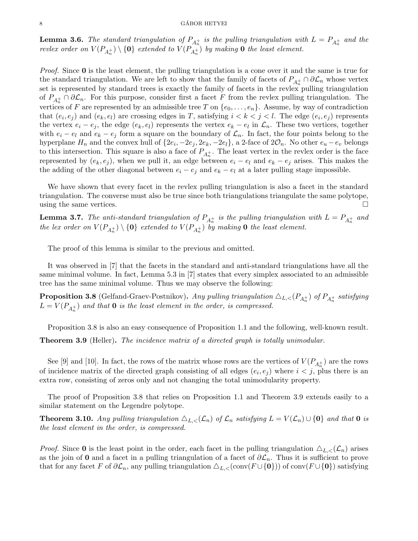### $\begin{array}{c}\n 8 \\
\hline\n \end{array}$

**Lemma 3.6.** The standard triangulation of  $P_{A_n^+}$  is the pulling triangulation with  $L = P_{A_n^+}$  and the revlex order on  $V(P_{A_n^+}) \setminus \{\mathbf{0}\}$  extended to  $V(P_{A_n^+})$  by making  $\mathbf 0$  the least element.

*Proof.* Since  $\mathbf{0}$  is the least element, the pulling triangulation is a cone over it and the same is true for the standard triangulation. We are left to show that the family of facets of  $P_{A_n^+} \cap \partial \mathcal{L}_n$  whose vertex set is represented by standard trees is exactly the family of facets in the revlex pulling triangulation of  $P_{A_n^+} \cap \partial \mathcal{L}_n$ . For this purpose, consider first a facet F from the revlex pulling triangulation. The vertices of F are represented by an admissible tree T on  $\{e_0, \ldots, e_n\}$ . Assume, by way of contradiction that  $(e_i, e_j)$  and  $(e_k, e_l)$  are crossing edges in T, satisfying  $i < k < j < l$ . The edge  $(e_i, e_j)$  represents the vertex  $e_i - e_j$ , the edge  $(e_k, e_l)$  represents the vertex  $e_k - e_l$  in  $\mathcal{L}_n$ . These two vertices, together with  $e_i - e_l$  and  $e_k - e_j$  form a square on the boundary of  $\mathcal{L}_n$ . In fact, the four points belong to the hyperplane  $H_n$  and the convex hull of  $\{2e_i, -2e_j, 2e_k, -2e_l\}$ , a 2-face of  $2\mathcal{O}_n$ . No other  $e_u - e_v$  belongs to this intersection. This square is also a face of  $P_{A_n^+}$ . The least vertex in the revlex order is the face represented by  $(e_k, e_j)$ , when we pull it, an edge between  $e_i - e_l$  and  $e_k - e_j$  arises. This makes the the adding of the other diagonal between  $e_i - e_j$  and  $e_k - e_l$  at a later pulling stage impossible.

We have shown that every facet in the revlex pulling triangulation is also a facet in the standard triangulation. The converse must also be true since both triangulations triangulate the same polytope, using the same vertices.  $\Box$ 

**Lemma 3.7.** The anti-standard triangulation of  $P_{A_n^+}$  is the pulling triangulation with  $L = P_{A_n^+}$  and the lex order on  $V(P_{A_n^+}) \setminus \{\mathbf{0}\}$  extended to  $V(P_{A_n^+})$  by making  $\mathbf 0$  the least element.

The proof of this lemma is similar to the previous and omitted.

It was observed in [7] that the facets in the standard and anti-standard triangulations have all the same minimal volume. In fact, Lemma 5.3 in [7] states that every simplex associated to an admissible tree has the same minimal volume. Thus we may observe the following:

**Proposition 3.8** (Gelfand-Graev-Postnikov). Any pulling triangulation  $\triangle_{L,<} (P_{A_n^+})$  of  $P_{A_n^+}$  satisfying  $L = V(P_{A_n^+})$  and that **0** is the least element in the order, is compressed.

Proposition 3.8 is also an easy consequence of Proposition 1.1 and the following, well-known result.

**Theorem 3.9** (Heller). The incidence matrix of a directed graph is totally unimodular.

See [9] and [10]. In fact, the rows of the matrix whose rows are the vertices of  $V(P_{A_n^+})$  are the rows of incidence matrix of the directed graph consisting of all edges  $(e_i, e_j)$  where  $i < j$ , plus there is an extra row, consisting of zeros only and not changing the total unimodularity property.

The proof of Proposition 3.8 that relies on Proposition 1.1 and Theorem 3.9 extends easily to a similar statement on the Legendre polytope.

**Theorem 3.10.** Any pulling triangulation  $\Delta_{L,<}(L_n)$  of  $\mathcal{L}_n$  satisfying  $L = V(\mathcal{L}_n) \cup \{0\}$  and that 0 is the least element in the order, is compressed.

*Proof.* Since **0** is the least point in the order, each facet in the pulling triangulation  $\Delta_{L,<}(L_n)$  arises as the join of 0 and a facet in a pulling triangulation of a facet of  $\partial \mathcal{L}_n$ . Thus it is sufficient to prove that for any facet F of  $\partial \mathcal{L}_n$ , any pulling triangulation  $\Delta_{L,<}(\text{conv}(F \cup \{0\}))$  of conv $(F \cup \{0\})$  satisfying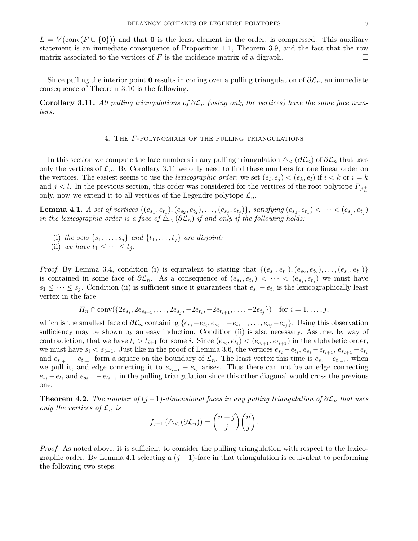$L = V(\text{conv}(F \cup \{0\}))$  and that **0** is the least element in the order, is compressed. This auxiliary statement is an immediate consequence of Proposition 1.1, Theorem 3.9, and the fact that the row matrix associated to the vertices of F is the incidence matrix of a digraph.

Since pulling the interior point 0 results in coning over a pulling triangulation of  $\partial \mathcal{L}_n$ , an immediate consequence of Theorem 3.10 is the following.

**Corollary 3.11.** All pulling triangulations of  $\partial \mathcal{L}_n$  (using only the vertices) have the same face numbers.

## 4. The F-polynomials of the pulling triangulations

In this section we compute the face numbers in any pulling triangulation  $\Delta_{\leq}(\partial \mathcal{L}_n)$  of  $\partial \mathcal{L}_n$  that uses only the vertices of  $\mathcal{L}_n$ . By Corollary 3.11 we only need to find these numbers for one linear order on the vertices. The easiest seems to use the *lexicographic order*: we set  $(e_i, e_j) < (e_k, e_l)$  if  $i < k$  or  $i = k$ and  $j < l$ . In the previous section, this order was considered for the vertices of the root polytope  $P_{A_n^+}$ only, now we extend it to all vertices of the Legendre polytope  $\mathcal{L}_n$ .

**Lemma 4.1.** A set of vertices  $\{(e_{s_1}, e_{t_1}), (e_{s_2}, e_{t_2}), \ldots, (e_{s_j}, e_{t_j})\}$ , satisfying  $(e_{s_1}, e_{t_1}) < \cdots < (e_{s_j}, e_{t_j})$ in the lexicographic order is a face of  $\Delta_{\leq}(\partial \mathcal{L}_n)$  if and only if the following holds:

- (i) the sets  $\{s_1, \ldots, s_j\}$  and  $\{t_1, \ldots, t_j\}$  are disjoint;
- (ii) we have  $t_1 \leq \cdots \leq t_i$ .

*Proof.* By Lemma 3.4, condition (i) is equivalent to stating that  $\{(e_{s_1}, e_{t_1}), (e_{s_2}, e_{t_2}), \ldots, (e_{s_j}, e_{t_j})\}$ is contained in some face of  $\partial \mathcal{L}_n$ . As a consequence of  $(e_{s_1}, e_{t_1}) < \cdots < (e_{s_j}, e_{t_j})$  we must have  $s_1 \leq \cdots \leq s_j$ . Condition (ii) is sufficient since it guarantees that  $e_{s_i} - e_{t_i}$  is the lexicographically least vertex in the face

 $H_n \cap \text{conv}(\{2e_{s_i}, 2e_{s_{i+1}}, \ldots, 2e_{s_j}, -2e_{t_i}, -2e_{t_{i+1}}, \ldots, -2e_{t_j}\})$  for  $i = 1, \ldots, j$ ,

which is the smallest face of  $\partial \mathcal{L}_n$  containing  $\{e_{s_i}-e_{t_i}, e_{s_{i+1}}-e_{t_{i+1}}, \ldots, e_{s_j}-e_{t_j}\}$ . Using this observation sufficiency may be shown by an easy induction. Condition (ii) is also necessary. Assume, by way of contradiction, that we have  $t_i > t_{i+1}$  for some i. Since  $(e_{s_i}, e_{t_i}) < (e_{s_{i+1}}, e_{t_{i+1}})$  in the alphabetic order, we must have  $s_i < s_{i+1}$ . Just like in the proof of Lemma 3.6, the vertices  $e_{s_i} - e_{t_i}, e_{s_i} - e_{t_{i+1}}, e_{s_{i+1}} - e_{t_i}$ and  $e_{s_{i+1}} - e_{t_{i+1}}$  form a square on the boundary of  $\mathcal{L}_n$ . The least vertex this time is  $e_{s_i} - e_{t_{i+1}}$ , when we pull it, and edge connecting it to  $e_{s_{i+1}} - e_{t_i}$  arises. Thus there can not be an edge connecting  $e_{s_i} - e_{t_i}$  and  $e_{s_{i+1}} - e_{t_{i+1}}$  in the pulling triangulation since this other diagonal would cross the previous one.

**Theorem 4.2.** The number of  $(j-1)$ -dimensional faces in any pulling triangulation of  $\partial \mathcal{L}_n$  that uses only the vertices of  $\mathcal{L}_n$  is n zh

$$
f_{j-1}(\triangle_{<}(\partial \mathcal{L}_n)) = \binom{n+j}{j}\binom{n}{j}.
$$

Proof. As noted above, it is sufficient to consider the pulling triangulation with respect to the lexicographic order. By Lemma 4.1 selecting a  $(j-1)$ -face in that triangulation is equivalent to performing the following two steps: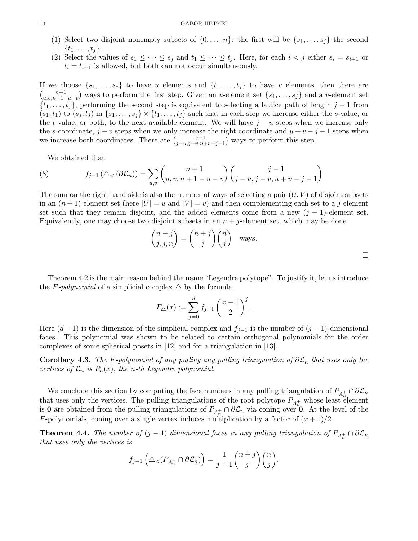- (1) Select two disjoint nonempty subsets of  $\{0, \ldots, n\}$ : the first will be  $\{s_1, \ldots, s_j\}$  the second  $\{t_1, \ldots, t_i\}.$
- (2) Select the values of  $s_1 \leq \cdots \leq s_j$  and  $t_1 \leq \cdots \leq t_j$ . Here, for each  $i < j$  either  $s_i = s_{i+1}$  or  $t_i = t_{i+1}$  is allowed, but both can not occur simultaneously.

If we choose  $\{s_1, \ldots, s_j\}$  to have u elements and  $\{t_1, \ldots, t_j\}$  to have v elements, then there are  $\binom{n+1}{n}$  $u,v,n+1-u-v$  ways to perform the first step. Given an u-element set  $\{s_1,\ldots,s_j\}$  and a v-element set  $\{t_1, \ldots, t_j\}$ , performing the second step is equivalent to selecting a lattice path of length j – 1 from  $(s_1, t_1)$  to  $(s_j, t_j)$  in  $\{s_1, \ldots, s_j\} \times \{t_1, \ldots, t_j\}$  such that in each step we increase either the s-value, or the t value, or both, to the next available element. We will have  $j - u$  steps when we increase only the s-coordinate,  $j - v$  steps when we only increase the right coordinate and  $u + v - j - 1$  steps when we increase both coordinates. There are  $\int_{i=u}^{j-1}$  $j-u,j-v,u+v-j-1$  ways to perform this step.

We obtained that

(8) 
$$
f_{j-1}(\Delta_{<}(\partial \mathcal{L}_n)) = \sum_{u,v} {n+1 \choose u,v,n+1-u-v} {j-1 \choose j-u,j-v,u+v-j-1}
$$

The sum on the right hand side is also the number of ways of selecting a pair  $(U, V)$  of disjoint subsets in an  $(n+1)$ -element set (here  $|U| = u$  and  $|V| = v$ ) and then complementing each set to a j element set such that they remain disjoint, and the added elements come from a new  $(j - 1)$ -element set. Equivalently, one may choose two disjoint subsets in an  $n + j$ -element set, which may be done

$$
\binom{n+j}{j,j,n} = \binom{n+j}{j} \binom{n}{j} \text{ ways.}
$$

Theorem 4.2 is the main reason behind the name "Legendre polytope". To justify it, let us introduce the F-polynomial of a simplicial complex  $\triangle$  by the formula

$$
F_{\triangle}(x) := \sum_{j=0}^{d} f_{j-1} \left(\frac{x-1}{2}\right)^j.
$$

Here  $(d-1)$  is the dimension of the simplicial complex and  $f_{j-1}$  is the number of  $(j-1)$ -dimensional faces. This polynomial was shown to be related to certain orthogonal polynomials for the order complexes of some spherical posets in [12] and for a triangulation in [13].

Corollary 4.3. The F-polynomial of any pulling any pulling triangulation of  $\partial \mathcal{L}_n$  that uses only the vertices of  $\mathcal{L}_n$  is  $P_n(x)$ , the n-th Legendre polynomial.

We conclude this section by computing the face numbers in any pulling triangulation of  $P_{A_n^+} \cap \partial \mathcal{L}_n$ that uses only the vertices. The pulling triangulations of the root polytope  $P_{A_n^+}$  whose least element is 0 are obtained from the pulling triangulations of  $P_{A_n^+} \cap \partial \mathcal{L}_n$  via coning over 0. At the level of the F-polynomials, coning over a single vertex induces multiplication by a factor of  $(x + 1)/2$ .

**Theorem 4.4.** The number of  $(j-1)$ -dimensional faces in any pulling triangulation of  $P_{A_n^+} \cap \partial \mathcal{L}_n$ that uses only the vertices is

$$
f_{j-1}\left(\Delta_{<} (P_{A_n^+} \cap \partial \mathcal{L}_n)\right) = \frac{1}{j+1} \binom{n+j}{j} \binom{n}{j}.
$$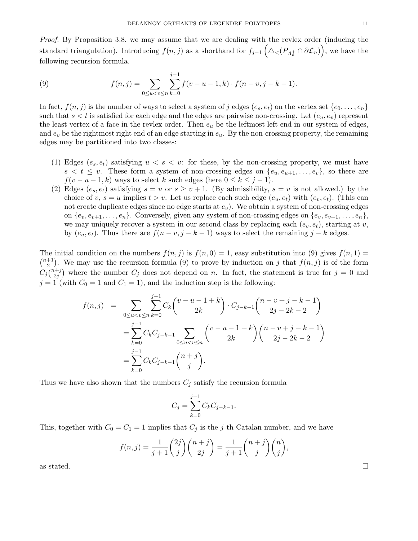Proof. By Proposition 3.8, we may assume that we are dealing with the revlex order (inducing the standard triangulation). Introducing  $f(n, j)$  as a shorthand for  $f_{j-1}(\triangle C(P_{A_n^+} \cap \partial \mathcal{L}_n))$ , we have the following recursion formula.

(9) 
$$
f(n,j) = \sum_{0 \le u < v \le n} \sum_{k=0}^{j-1} f(v - u - 1, k) \cdot f(n - v, j - k - 1).
$$

In fact,  $f(n, j)$  is the number of ways to select a system of j edges  $(e_s, e_t)$  on the vertex set  $\{e_0, \ldots, e_n\}$ such that  $s < t$  is satisfied for each edge and the edges are pairwise non-crossing. Let  $(e_u, e_v)$  represent the least vertex of a face in the revlex order. Then  $e_u$  be the leftmost left end in our system of edges, and  $e_v$  be the rightmost right end of an edge starting in  $e_u$ . By the non-crossing property, the remaining edges may be partitioned into two classes:

- (1) Edges  $(e_s, e_t)$  satisfying  $u < s < v$ : for these, by the non-crossing property, we must have  $s < t \leq v$ . These form a system of non-crossing edges on  $\{e_u, e_{u+1}, \ldots, e_v\}$ , so there are  $f(v - u - 1, k)$  ways to select k such edges (here  $0 \le k \le j - 1$ ).
- (2) Edges  $(e_s, e_t)$  satisfying  $s = u$  or  $s \ge v + 1$ . (By admissibility,  $s = v$  is not allowed.) by the choice of v,  $s = u$  implies  $t > v$ . Let us replace each such edge  $(e_u, e_t)$  with  $(e_v, e_t)$ . (This can not create duplicate edges since no edge starts at  $e<sub>v</sub>$ ). We obtain a system of non-crossing edges on  $\{e_v, e_{v+1}, \ldots, e_n\}$ . Conversely, given any system of non-crossing edges on  $\{e_v, e_{v+1}, \ldots, e_n\}$ , we may uniquely recover a system in our second class by replacing each  $(e_v, e_t)$ , starting at v, by  $(e_u, e_t)$ . Thus there are  $f(n-v, j-k-1)$  ways to select the remaining  $j-k$  edges.

The initial condition on the numbers  $f(n, j)$  is  $f(n, 0) = 1$ , easy substitution into (9) gives  $f(n, 1) =$  $\binom{n+1}{2}$  $\binom{+1}{2}$ . We may use the recursion formula (9) to prove by induction on j that  $f(n, j)$  is of the form  $C_j\binom{n+j}{2i}$  $2^{(2)}_{2j}$  where the number  $C_j$  does not depend on n. In fact, the statement is true for  $j=0$  and  $j = 1$  (with  $C_0 = 1$  and  $C_1 = 1$ ), and the induction step is the following:

$$
f(n,j) = \sum_{0 \le u < v \le n} \sum_{k=0}^{j-1} C_k {v - u - 1 + k \choose 2k} \cdot C_{j-k-1} {n - v + j - k - 1 \choose 2j - 2k - 2}
$$
  
\n
$$
= \sum_{k=0}^{j-1} C_k C_{j-k-1} \sum_{0 \le u < v \le n} {v - u - 1 + k \choose 2k} {n - v + j - k - 1 \choose 2j - 2k - 2}
$$
  
\n
$$
= \sum_{k=0}^{j-1} C_k C_{j-k-1} {n + j \choose j}.
$$

Thus we have also shown that the numbers  $C_j$  satisfy the recursion formula

$$
C_j = \sum_{k=0}^{j-1} C_k C_{j-k-1}.
$$

This, together with  $C_0 = C_1 = 1$  implies that  $C_j$  is the j-th Catalan number, and we have

$$
f(n,j) = \frac{1}{j+1} \binom{2j}{j} \binom{n+j}{2j} = \frac{1}{j+1} \binom{n+j}{j} \binom{n}{j},
$$

as stated.  $\square$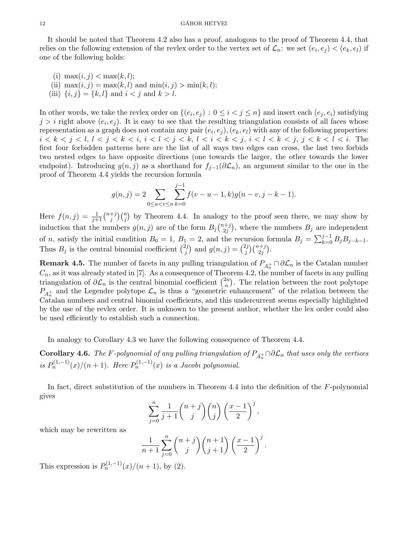It should be noted that Theorem 4.2 also has a proof, analogous to the proof of Theorem 4.4, that relies on the following extension of the revlex order to the vertex set of  $\mathcal{L}_n$ : we set  $(e_i, e_j) < (e_k, e_l)$  if one of the following holds:

(i)  $\max(i, j) < \max(k, l);$ (ii)  $\max(i, j) = \max(k, l)$  and  $\min(i, j) > \min(k, l);$ (iii)  $\{i, j\} = \{k, l\}$  and  $i < j$  and  $k > l$ .

In other words, we take the revlex order on  $\{(e_i, e_j) : 0 \le i < j \le n\}$  and insert each  $(e_j, e_i)$  satisfying  $j > i$  right above  $(e_i, e_j)$ . It is easy to see that the resulting triangulation consists of all faces whose representation as a graph does not contain any pair  $(e_i, e_j)$ ,  $(e_k, e_l)$  with any of the following properties:  $i < k < j < l, l < j < k < i, i < l < j < k, l < i < k < j, i < l < k < j, j < k < l < l$ . The first four forbidden patterns here are the list of all ways two edges can cross, the last two forbids two nested edges to have opposite directions (one towards the larger, the other towards the lower endpoint). Introducing  $g(n, j)$  as a shorthand for  $f_{j-1}(\partial \mathcal{L}_n)$ , an argument similar to the one in the proof of Theorem 4.4 yields the recursion formula

$$
g(n,j) = 2 \sum_{0 \le u < v \le n} \sum_{k=0}^{j-1} f(v - u - 1, k) g(n - v, j - k - 1).
$$

Here  $f(n, j) = \frac{1}{j+1} {n+j \choose j}$  $j^{+j}$  $\binom{n}{j}$  by Theorem 4.4. In analogy to the proof seen there, we may show by induction that the numbers  $g(n, j)$  are of the form  $B_j\binom{n+j}{2j}$  $\binom{n+j}{2j}$ , where the numbers  $B_j$  are independent of *n*, satisfy the initial condition  $B_0 = 1$ ,  $B_1 = 2$ , and the recursion formula  $B_j = \sum_{k=0}^{j-1} B_j B_{j-k-1}$ . Thus  $B_j$  is the central binomial coefficient  $\binom{2j}{j}$  $g_j^{2j}$  and  $g(n, j) = \binom{2j}{j}$  $j^{2j}$  $\binom{n+j}{2j}$ .

**Remark 4.5.** The number of facets in any pulling triangulation of  $P_{A_n^+} \cap \partial \mathcal{L}_n$  is the Catalan number  $C_n$ , as it was already stated in [7]. As a consequence of Theorem 4.2, the number of facets in any pulling triangulation of  $\partial \mathcal{L}_n$  is the central binomial coefficient  $\binom{2n}{n}$  $\binom{2n}{n}$ . The relation between the root polytope  $P_{A_n^+}$  and the Legendre polytope  $\mathcal{L}_n$  is thus a "geometric enhancement" of the relation between the Catalan numbers and central binomial coefficients, and this undercurrent seems especially highlighted by the use of the revlex order. It is unknown to the present author, whether the lex order could also be used efficiently to establish such a connection.

In analogy to Corollary 4.3 we have the following consequence of Theorem 4.4.

**Corollary 4.6.** The F-polynomial of any pulling triangulation of  $P_{A_n^+} \cap \partial \mathcal{L}_n$  that uses only the vertices is  $P_n^{(1,-1)}(x)/(n+1)$ . Here  $P_n^{(1,-1)}(x)$  is a Jacobi polynomial.

In fact, direct substitution of the numbers in Theorem 4.4 into the definition of the F-polynomial gives

$$
\sum_{j=0}^{n} \frac{1}{j+1} \binom{n+j}{j} \binom{n}{j} \left(\frac{x-1}{2}\right)^j,
$$

which may be rewritten as

$$
\frac{1}{n+1}\sum_{j=0}^{n} {n+j \choose j} {n+1 \choose j+1} \left(\frac{x-1}{2}\right)^j.
$$

This expression is  $P_n^{(1,-1)}(x)/(n+1)$ , by (2).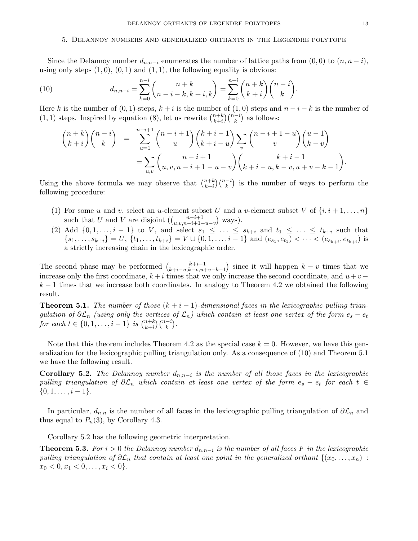### 5. Delannoy numbers and generalized orthants in the Legendre polytope

Since the Delannoy number  $d_{n,n-i}$  enumerates the number of lattice paths from  $(0,0)$  to  $(n,n-i)$ , using only steps  $(1, 0)$ ,  $(0, 1)$  and  $(1, 1)$ , the following equality is obvious:

(10) 
$$
d_{n,n-i} = \sum_{k=0}^{n-i} {n+k \choose n-i-k, k+i, k} = \sum_{k=0}^{n-i} {n+k \choose k+i} {n-i \choose k}.
$$

Here k is the number of  $(0, 1)$ -steps,  $k + i$  is the number of  $(1, 0)$  steps and  $n - i - k$  is the number of  $(1, 1)$  steps. Inspired by equation (8), let us rewrite  $\binom{n+k}{k+i}$  $_{k+i}^{n+k}$  $\binom{n-i}{k}$  as follows:

$$
\binom{n+k}{k+i}\binom{n-i}{k} = \sum_{u=1}^{n-i+1} \binom{n-i+1}{u}\binom{k+i-1}{k+i-u}\sum_{v} \binom{n-i+1-u}{v}\binom{u-1}{k-v} \n= \sum_{u,v} \binom{n-i+1}{u,v,n-i+1-u-v}\binom{k+i-1}{k+i-u,k-v,u+v-k-1}.
$$

Using the above formula we may observe that  $\binom{n+k}{k+i}$  $\binom{n+k}{k}\binom{n-i}{k}$  is the number of ways to perform the following procedure:

- (1) For some u and v, select an u-element subset U and a v-element subset V of  $\{i, i+1, \ldots, n\}$ such that U and V are disjoint  $\left(\binom{n-i+1}{n}$  $\binom{n-i+1}{u,v,n-i+1-u-v}$  ways).
- (2) Add  $\{0, 1, \ldots, i 1\}$  to V, and select  $s_1 \leq \ldots \leq s_{k+i}$  and  $t_1 \leq \ldots \leq t_{k+i}$  such that  ${s_1, \ldots, s_{k+i}} = U, \{t_1, \ldots, t_{k+i}\} = V \cup \{0, 1, \ldots, i-1\}$  and  $(e_{s_1}, e_{t_1}) < \cdots < (e_{s_{k+i}}, e_{t_{k+i}})$  is a strictly increasing chain in the lexicographic order.

The second phase may be performed  $\binom{k+i-1}{k+i-u}\binom{k+i-1}{k-i-u}$  $\binom{k+i-1}{k+i-u,k-v,u+v-k-1}$  since it will happen  $k-v$  times that we increase only the first coordinate,  $k + i$  times that we only increase the second coordinate, and  $u + v$  $k-1$  times that we increase both coordinates. In analogy to Theorem 4.2 we obtained the following result.

**Theorem 5.1.** The number of those  $(k + i - 1)$ -dimensional faces in the lexicographic pulling triangulation of  $\partial \mathcal{L}_n$  (using only the vertices of  $\mathcal{L}_n$ ) which contain at least one vertex of the form  $e_s - e_t$ for each  $t \in \{0, 1, \ldots, i-1\}$  is  $\binom{n+k}{k+i}$  $_{k+i}^{n+k}$  $\binom{n-i}{k}$ .

Note that this theorem includes Theorem 4.2 as the special case  $k = 0$ . However, we have this generalization for the lexicographic pulling triangulation only. As a consequence of (10) and Theorem 5.1 we have the following result.

**Corollary 5.2.** The Delannoy number  $d_{n,n-i}$  is the number of all those faces in the lexicographic pulling triangulation of  $\partial \mathcal{L}_n$  which contain at least one vertex of the form  $e_s - e_t$  for each  $t \in$  $\{0, 1, \ldots, i-1\}.$ 

In particular,  $d_{n,n}$  is the number of all faces in the lexicographic pulling triangulation of  $\partial \mathcal{L}_n$  and thus equal to  $P_n(3)$ , by Corollary 4.3.

Corollary 5.2 has the following geometric interpretation.

**Theorem 5.3.** For  $i > 0$  the Delannoy number  $d_{n,n-i}$  is the number of all faces F in the lexicographic pulling triangulation of  $\partial \mathcal{L}_n$  that contain at least one point in the generalized orthant  $\{(x_0, \ldots, x_n):$  $x_0 < 0, x_1 < 0, \ldots, x_i < 0$ .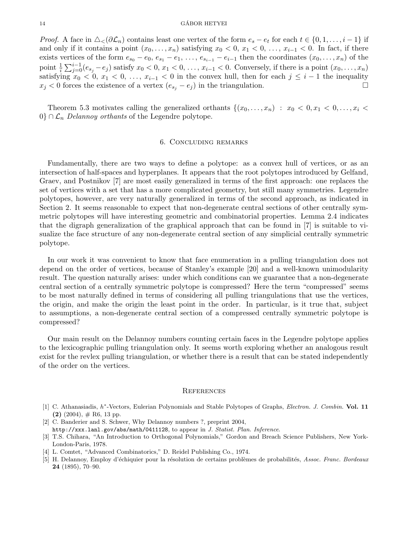*Proof.* A face in  $\triangle_{\leq}(\partial \mathcal{L}_n)$  contains least one vertex of the form  $e_s - e_t$  for each  $t \in \{0, 1, \ldots, i - 1\}$  if and only if it contains a point  $(x_0, \ldots, x_n)$  satisfying  $x_0 < 0, x_1 < 0, \ldots, x_{i-1} < 0$ . In fact, if there exists vertices of the form  $e_{s_0} - e_0$ ,  $e_{s_1} - e_1$ , ...,  $e_{s_{i-1}} - e_{i-1}$  then the coordinates  $(x_0, \ldots, x_n)$  of the point  $\frac{1}{i}\sum_{j=0}^{i-1}(e_{s_j}-e_j)$  satisfy  $x_0 < 0, x_1 < 0, \ldots, x_{i-1} < 0$ . Conversely, if there is a point  $(x_0, \ldots, x_n)$ satisfying  $x_0 < 0, x_1 < 0, \ldots, x_{i-1} < 0$  in the convex hull, then for each  $j \leq i-1$  the inequality  $x_j < 0$  forces the existence of a vertex  $(e_{s_i} - e_j)$  in the triangulation.

Theorem 5.3 motivates calling the generalized orthants  $\{(x_0, \ldots, x_n) : x_0 < 0, x_1 < 0, \ldots, x_i <$  $0$ } ∩  $\mathcal{L}_n$  Delannoy orthants of the Legendre polytope.

## 6. Concluding remarks

Fundamentally, there are two ways to define a polytope: as a convex hull of vertices, or as an intersection of half-spaces and hyperplanes. It appears that the root polytopes introduced by Gelfand, Graev, and Postnikov [7] are most easily generalized in terms of the first approach: one replaces the set of vertices with a set that has a more complicated geometry, but still many symmetries. Legendre polytopes, however, are very naturally generalized in terms of the second approach, as indicated in Section 2. It seems reasonable to expect that non-degenerate central sections of other centrally symmetric polytopes will have interesting geometric and combinatorial properties. Lemma 2.4 indicates that the digraph generalization of the graphical approach that can be found in [7] is suitable to visualize the face structure of any non-degenerate central section of any simplicial centrally symmetric polytope.

In our work it was convenient to know that face enumeration in a pulling triangulation does not depend on the order of vertices, because of Stanley's example [20] and a well-known unimodularity result. The question naturally arises: under which conditions can we guarantee that a non-degenerate central section of a centrally symmetric polytope is compressed? Here the term "compressed" seems to be most naturally defined in terms of considering all pulling triangulations that use the vertices, the origin, and make the origin the least point in the order. In particular, is it true that, subject to assumptions, a non-degenerate central section of a compressed centrally symmetric polytope is compressed?

Our main result on the Delannoy numbers counting certain faces in the Legendre polytope applies to the lexicographic pulling triangulation only. It seems worth exploring whether an analogous result exist for the revlex pulling triangulation, or whether there is a result that can be stated independently of the order on the vertices.

## **REFERENCES**

- [1] C. Athanasiadis, h<sup>\*</sup>-Vectors, Eulerian Polynomials and Stable Polytopes of Graphs, Electron. J. Combin. Vol. 11  $(2)$   $(2004)$ ,  $\#$  R6, 13 pp.
- [2] C. Banderier and S. Schwer, Why Delannoy numbers ?, preprint 2004,
- http://xxx.lanl.gov/abs/math/0411128, to appear in J. Statist. Plan. Inference.
- [3] T.S. Chihara, "An Introduction to Orthogonal Polynomials," Gordon and Breach Science Publishers, New York-London-Paris, 1978.
- [4] L. Comtet, "Advanced Combinatorics," D. Reidel Publishing Co., 1974.
- [5] H. Delannoy, Employ d'échiquier pour la résolution de certains problèmes de probabilités, Assoc. Franc. Bordeaux 24 (1895), 70–90.